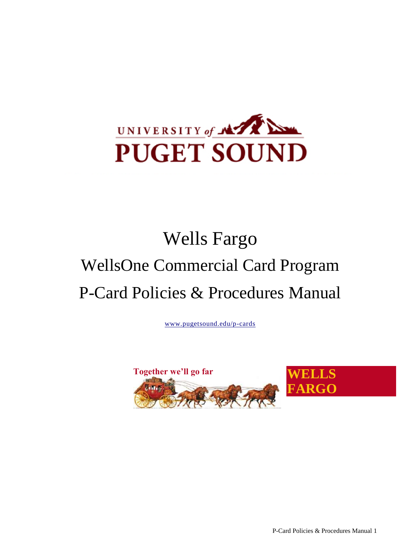

# Wells Fargo WellsOne Commercial Card Program P-Card Policies & Procedures Manual

[www.pugetsound.edu/p-cards](http://www.pugetsound.edu/p-cards)



P-Card Policies & Procedures Manual 1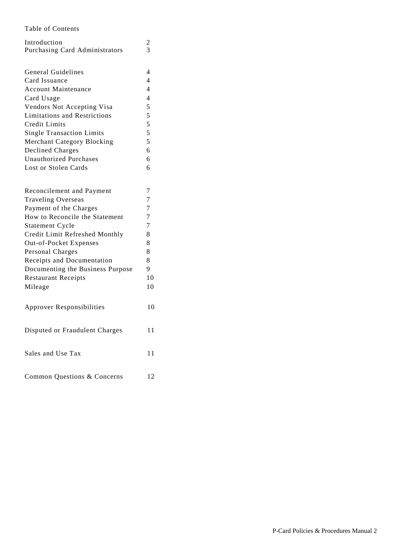#### Table of Contents

| Introduction                        | $\frac{2}{3}$            |
|-------------------------------------|--------------------------|
| Purchasing Card Administrators      |                          |
|                                     |                          |
| <b>General Guidelines</b>           | 4                        |
| Card Issuance                       | $\overline{4}$           |
| <b>Account Maintenance</b>          | $\overline{\mathcal{A}}$ |
| Card Usage                          | 4                        |
| Vendors Not Accepting Visa          | 5                        |
| <b>Limitations and Restrictions</b> | 5                        |
| Credit Limits                       | 5                        |
| <b>Single Transaction Limits</b>    | 5                        |
| Merchant Category Blocking          | 5                        |
| Declined Charges                    | 6                        |
| <b>Unauthorized Purchases</b>       | 6                        |
| Lost or Stolen Cards                | 6                        |
|                                     |                          |
|                                     |                          |
| Reconcilement and Payment           | 7                        |
| <b>Traveling Overseas</b>           | 7                        |
| Payment of the Charges              | $\overline{7}$           |
| How to Reconcile the Statement      | 7                        |
| <b>Statement Cycle</b>              | 7                        |
| Credit Limit Refreshed Monthly      | 8                        |
| Out-of-Pocket Expenses              | 8                        |
| Personal Charges                    | 8                        |
| Receipts and Documentation          | 8                        |
| Documenting the Business Purpose    | 9                        |
| <b>Restaurant Receipts</b>          | 10                       |
| Mileage                             | 1 <sub>0</sub>           |
|                                     |                          |
| <b>Approver Responsibilities</b>    | 10                       |
|                                     |                          |
|                                     |                          |
| Disputed or Fraudulent Charges      | 11                       |
|                                     |                          |
|                                     | 11                       |
| Sales and Use Tax                   |                          |
|                                     |                          |
| Common Questions & Concerns         | 12                       |
|                                     |                          |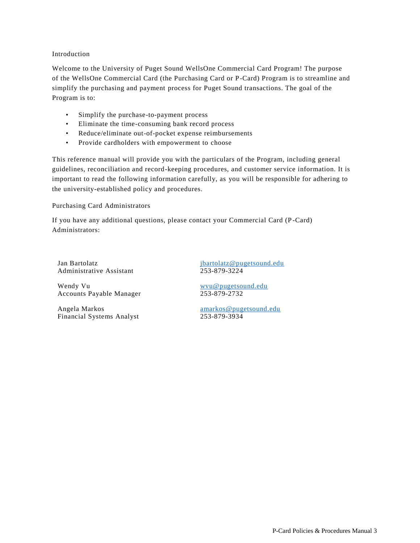#### <span id="page-2-0"></span>Introduction

Welcome to the University of Puget Sound WellsOne Commercial Card Program! The purpose of the WellsOne Commercial Card (the Purchasing Card or P-Card) Program is to streamline and simplify the purchasing and payment process for Puget Sound transactions. The goal of the Program is to:

- Simplify the purchase-to-payment process
- Eliminate the time-consuming bank record process
- Reduce/eliminate out-of-pocket expense reimbursements
- Provide cardholders with empowerment to choose

This reference manual will provide you with the particulars of the Program, including general guidelines, reconciliation and record-keeping procedures, and customer service information. It is important to read the following information carefully, as you will be responsible for adhering to the university-established policy and procedures.

Purchasing Card Administrators

If you have any additional questions, please contact your Commercial Card (P -Card) Administrators:

Administrative Assistant 253-879-3224

Wendy Vu<br>Accounts Payable Manager<br>253-879-2732 Accounts Payable Manager

Angela Markos amarkos amarkos @pugetsound.edu Financial Systems Analyst 253-879-3934

Jan Bartolatz ibartolatz@pugetsound.edu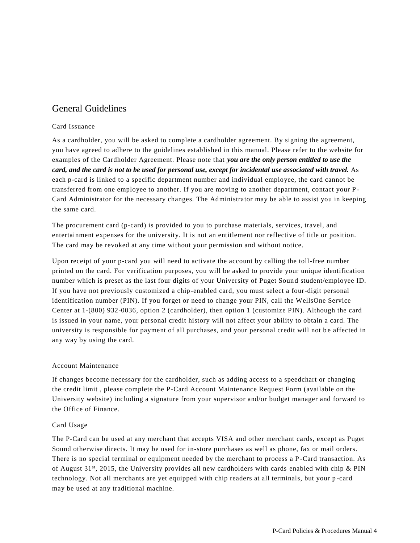## General Guidelines

#### Card Issuance

As a cardholder, you will be asked to complete a cardholder agreement. By signing the agreement, you have agreed to adhere to the guidelines established in this manual. Please refer to the website for examples of the Cardholder Agreement. Please note that *you are the only person entitled to use the card, and the card is not to be used for personal use, except for incidental use associated with travel.* As each p-card is linked to a specific department number and individual employee, the card cannot be transferred from one employee to another. If you are moving to another department, contact your P - Card Administrator for the necessary changes. The Administrator may be able to assist you in keeping the same card.

The procurement card (p-card) is provided to you to purchase materials, services, travel, and entertainment expenses for the university. It is not an entitlement nor reflective of title or position. The card may be revoked at any time without your permission and without notice.

Upon receipt of your p-card you will need to activate the account by calling the toll-free number printed on the card. For verification purposes, you will be asked to provide your unique identification number which is preset as the last four digits of your University of Puget Sound student/employee ID. If you have not previously customized a chip-enabled card, you must select a four-digit personal identification number (PIN). If you forget or need to change your PIN, call the WellsOne Service Center at 1-(800) 932-0036, option 2 (cardholder), then option 1 (customize PIN). Although the card is issued in your name, your personal credit history will not affect your ability to obtain a card. The university is responsible for payment of all purchases, and your personal credit will not be affected in any way by using the card.

#### Account Maintenance

If changes become necessary for the cardholder, such as adding access to a speedchart or changing the credit limit , please complete the P-Card Account Maintenance Request Form (available on the University website) including a signature from your supervisor and/or budget manager and forward to the Office of Finance.

#### Card Usage

The P-Card can be used at any merchant that accepts VISA and other merchant cards, except as Puget Sound otherwise directs. It may be used for in-store purchases as well as phone, fax or mail orders. There is no special terminal or equipment needed by the merchant to process a P -Card transaction. As of August  $31^{st}$ , 2015, the University provides all new cardholders with cards enabled with chip & PIN technology. Not all merchants are yet equipped with chip readers at all terminals, but your p -card may be used at any traditional machine.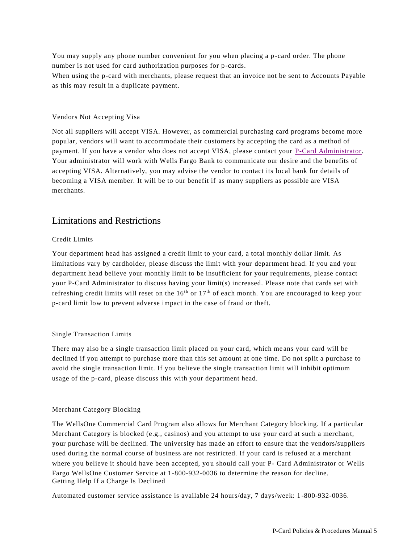You may supply any phone number convenient for you when placing a p-card order. The phone number is not used for card authorization purposes for p-cards. When using the p-card with merchants, please request that an invoice not be sent to Accounts Payable as this may result in a duplicate payment.

#### Vendors Not Accepting Visa

Not all suppliers will accept VISA. However, as commercial purchasing card programs become more popular, vendors will want to accommodate their customers by accepting the card as a method of payment. If you have a vendor who does not accept VISA, please contact your P-Card Administrator. Your administrator will work with Wells Fargo Bank to communicate our desire and the benefits of accepting VISA. Alternatively, you may advise the vendor to contact its local bank for details of becoming a VISA member. It will be to our benefit if as many suppliers as possible are VISA merchants.

## Limitations and Restrictions

#### Credit Limits

Your department head has assigned a credit limit to your card, a total monthly dollar limit. As limitations vary by cardholder, please discuss the limit with your department head. If you and your department head believe your monthly limit to be insufficient for your requirements, please contact your P-Card Administrator to discuss having your limit(s) increased. Please note that cards set with refreshing credit limits will reset on the  $16<sup>th</sup>$  or  $17<sup>th</sup>$  of each month. You are encouraged to keep your p-card limit low to prevent adverse impact in the case of fraud or theft.

#### Single Transaction Limits

There may also be a single transaction limit placed on your card, which me ans your card will be declined if you attempt to purchase more than this set amount at one time. Do not split a purchase to avoid the single transaction limit. If you believe the single transaction limit will inhibit optimum usage of the p-card, please discuss this with your department head.

#### Merchant Category Blocking

The WellsOne Commercial Card Program also allows for Merchant Category blocking. If a particular Merchant Category is blocked (e.g., casinos) and you attempt to use your card at such a merchan t, your purchase will be declined. The university has made an effort to ensure that the vendors/suppliers used during the normal course of business are not restricted. If your card is refused at a merchant where you believe it should have been accepted, you should call your P- Card Administrator or Wells Fargo WellsOne Customer Service at 1-800-932-0036 to determine the reason for decline. Getting Help If a Charge Is Declined

Automated customer service assistance is available 24 hours/day, 7 days/week: 1 -800-932-0036.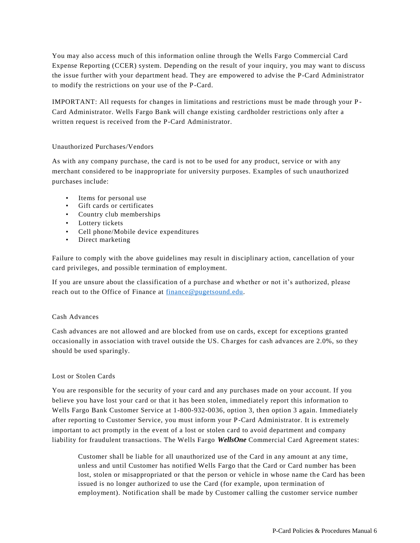You may also access much of this information online through the Wells Fargo Commercial Card Expense Reporting (CCER) system. Depending on the result of your inquiry, you may want to discuss the issue further with your department head. They are empowered to advise the P-Card Administrator to modify the restrictions on your use of the P-Card.

IMPORTANT: All requests for changes in limitations and restrictions must be made through your P - Card Administrator. Wells Fargo Bank will change existing cardholder restrictions only after a written request is received from the P-Card Administrator.

#### Unauthorized Purchases/Vendors

As with any company purchase, the card is not to be used for any product, service or with any merchant considered to be inappropriate for university purposes. Examples of such unauthorized purchases include:

- Items for personal use
- Gift cards or certificates
- Country club memberships
- Lottery tickets
- Cell phone/Mobile device expenditures
- Direct marketing

Failure to comply with the above guidelines may result in disciplinary action, cancellation of your card privileges, and possible termination of employment.

If you are unsure about the classification of a purchase and whether or not it's authorized, please reach out to the Office of Finance at [finance@pugetsound.edu.](mailto:finance@pugetsound.edu)

#### Cash Advances

Cash advances are not allowed and are blocked from use on cards, except for exceptions granted occasionally in association with travel outside the US. Charges for cash advances are 2.0%, so they should be used sparingly.

#### Lost or Stolen Cards

You are responsible for the security of your card and any purchases made on your account. If you believe you have lost your card or that it has been stolen, immediatel y report this information to Wells Fargo Bank Customer Service at 1-800-932-0036, option 3, then option 3 again. Immediately after reporting to Customer Service, you must inform your P-Card Administrator. It is extremely important to act promptly in the event of a lost or stolen card to avoid department and company liability for fraudulent transactions. The Wells Fargo *WellsOne* Commercial Card Agreement states:

Customer shall be liable for all unauthorized use of the Card in any amount at any time, unless and until Customer has notified Wells Fargo that the Card or Card number has been lost, stolen or misappropriated or that the person or vehicle in whose name the Card has been issued is no longer authorized to use the Card (for example, upon termination of employment). Notification shall be made by Customer calling the customer service number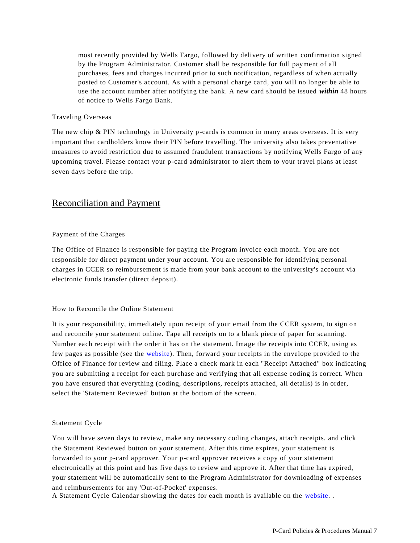most recently provided by Wells Fargo, followed by delivery of written confirmation signed by the Program Administrator. Customer shall be responsible for full payment of all purchases, fees and charges incurred prior to such notification, regardless of when actually posted to Customer's account. As with a personal charge card, you will no longer be able to use the account number after notifying the bank. A new card should be issued *within* 48 hours of notice to Wells Fargo Bank.

#### Traveling Overseas

The new chip & PIN technology in University p-cards is common in many areas overseas. It is very important that cardholders know their PIN before travelling. The university also takes preventative measures to avoid restriction due to assumed fraudulent transactions by notifying Wells Fargo of any upcoming travel. Please contact your p-card administrator to alert them to your travel plans at least seven days before the trip.

## Reconciliation and Payment

#### Payment of the Charges

The Office of Finance is responsible for paying the Program invoice each month. You are not responsible for direct payment under your account. You are responsible for identifying personal charges in CCER so reimbursement is made from your bank account to the university's account via electronic funds transfer (direct deposit).

#### How to Reconcile the Online Statement

It is your responsibility, immediately upon receipt of your email from the CCER system, to sign on and reconcile your statement online. Tape all receipts on to a blank piece of paper for scanning. Number each receipt with the order it has on the statement. Ima ge the receipts into CCER, using as few pages as possible (see the website). Then, forward your receipts in the envelope provided to the Office of Finance for review and filing. Place a check mark in each "Receipt Attached" box indicating you are submitting a receipt for each purchase and verifying that all expense coding is correct. When you have ensured that everything (coding, descriptions, receipts attached, all details) is in order, select the 'Statement Reviewed' button at the bottom of the screen.

#### Statement Cycle

You will have seven days to review, make any necessary coding changes, attach receipts, and click the Statement Reviewed button on your statement. After this time expires, your statement is forwarded to your p-card approver. Your p-card approver receives a copy of your statement electronically at this point and has five days to review and approve it. After that time has expired, your statement will be automatically sent to the Program Administrator for downloading of expenses and reimbursements for any 'Out-of-Pocket' expenses.

A Statement Cycle Calendar showing the dates for each month is available on the website. .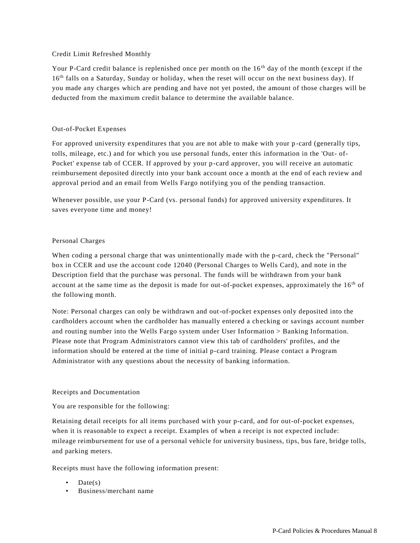#### Credit Limit Refreshed Monthly

Your P-Card credit balance is replenished once per month on the 16<sup>th</sup> day of the month (except if the 16<sup>th</sup> falls on a Saturday, Sunday or holiday, when the reset will occur on the next business day). If you made any charges which are pending and have not yet posted, the amount of those charges will be deducted from the maximum credit balance to determine the available balance.

#### Out-of-Pocket Expenses

For approved university expenditures that you are not able to make with your p -card (generally tips, tolls, mileage, etc.) and for which you use personal funds, enter this information in the 'Out- of-Pocket' expense tab of CCER. If approved by your p-card approver, you will receive an automatic reimbursement deposited directly into your bank account once a month at the end of each review and approval period and an email from Wells Fargo notifying you of the pending transaction.

Whenever possible, use your P-Card (vs. personal funds) for approved university expenditures. It saves everyone time and money!

#### Personal Charges

When coding a personal charge that was unintentionally made with the p-card, check the "Personal" box in CCER and use the account code 12040 (Personal Charges to Wells Card), and note in the Description field that the purchase was personal. The funds will be withdrawn from your bank account at the same time as the deposit is made for out-of-pocket expenses, approximately the 16<sup>th</sup> of the following month.

Note: Personal charges can only be withdrawn and out-of-pocket expenses only deposited into the cardholders account when the cardholder has manually entered a ch ecking or savings account number and routing number into the Wells Fargo system under User Information > Banking Information. Please note that Program Administrators cannot view this tab of cardholders' profiles, and the information should be entered at the time of initial p-card training. Please contact a Program Administrator with any questions about the necessity of banking information.

#### Receipts and Documentation

You are responsible for the following:

Retaining detail receipts for all items purchased with your p-card, and for out-of-pocket expenses, when it is reasonable to expect a receipt. Examples of when a receipt is not expected include: mileage reimbursement for use of a personal vehicle for university business, tips, bus fare, bridge tolls, and parking meters.

Receipts must have the following information present:

- $Date(s)$
- Business/merchant name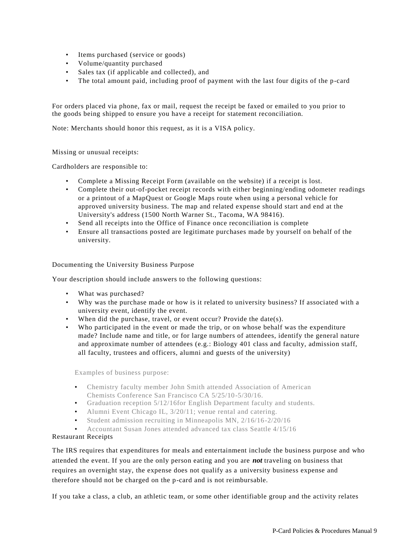- Items purchased (service or goods)
- Volume/quantity purchased
- Sales tax (if applicable and collected), and
- The total amount paid, including proof of payment with the last four digits of the p-card

For orders placed via phone, fax or mail, request the receipt be faxed or emailed to you prior to the goods being shipped to ensure you have a receipt for statement reconciliation.

Note: Merchants should honor this request, as it is a VISA policy.

Missing or unusual receipts:

Cardholders are responsible to:

- Complete a Missing Receipt Form (available on the website) if a receipt is lost.
- Complete their out-of-pocket receipt records with either beginning/ending odometer readings or a printout of a MapQuest or Google Maps route when using a personal vehicle for approved university business. The map and related expense should start and end at the University's address (1500 North Warner St., Tacoma, WA 98416).
- Send all receipts into the Office of Finance once reconciliation is complete
- Ensure all transactions posted are legitimate purchases made by yourself on behalf of the university.

Documenting the University Business Purpose

Your description should include answers to the following questions:

- What was purchased?
- Why was the purchase made or how is it related to university business? If associated with a university event, identify the event.
- When did the purchase, travel, or event occur? Provide the date(s).
- Who participated in the event or made the trip, or on whose behalf was the expenditure made? Include name and title, or for large numbers of attendees, identify the general nature and approximate number of attendees (e.g.: Biology 401 class and faculty, admission staff, all faculty, trustees and officers, alumni and guests of the university)

Examples of business purpose:

- Chemistry faculty member John Smith attended Association of American Chemists Conference San Francisco CA 5/25/10-5/30/16.
- Graduation reception 5/12/16for English Department faculty and students.
- Alumni Event Chicago IL,  $3/20/11$ ; venue rental and catering.
- Student admission recruiting in Minneapolis MN, 2/16/16-2/20/16
- Accountant Susan Jones attended advanced tax class Seattle 4/15/16

<span id="page-8-0"></span>Restaurant Receipts

The IRS requires that expenditures for meals and entertainment include the business purpose and who attended the event. If you are the only person eating and you are *not* traveling on business that requires an overnight stay, the expense does not qualify as a university business expense and therefore should not be charged on the p-card and is not reimbursable.

If you take a class, a club, an athletic team, or some other identifiable group and the activity relates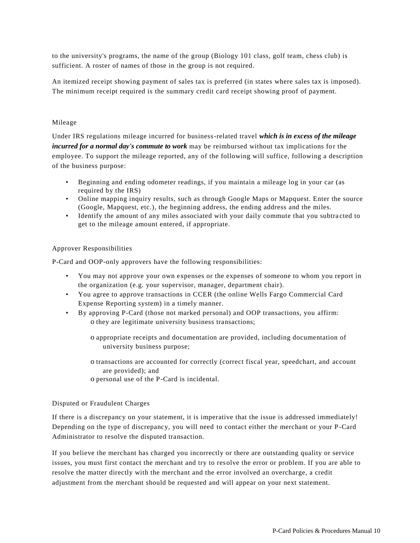to the university's programs, the name of the group (Biology 101 class, golf team, chess club) is sufficient. A roster of names of those in the group is not required.

An itemized receipt showing payment of sales tax is preferred (in states where sales tax is imposed). The minimum receipt required is the summary credit card receipt showing proof of payment.

#### Mileage

Under IRS regulations mileage incurred for business-related travel *which is in excess of the mileage incurred for a normal day's commute to work* may be reimbursed without tax implications for the employee. To support the mileage reported, any of the following will suffice, following a description of the business purpose:

- Beginning and ending odometer readings, if you maintain a mileage log in your car (as required by the IRS)
- Online mapping inquiry results, such as through Google Maps or Mapquest. Enter the source (Google, Mapquest, etc.), the beginning address, the ending address and the miles.
- Identify the amount of any miles associated with your daily commute that you subtracted to get to the mileage amount entered, if appropriate.

#### Approver Responsibilities

P-Card and OOP-only approvers have the following responsibilities:

- You may not approve your own expenses or the expenses of someone to whom you report in the organization (e.g. your supervisor, manager, department chair).
- You agree to approve transactions in CCER (the online Wells Fargo Commercial Card Expense Reporting system) in a timely manner.
- By approving P-Card (those not marked personal) and OOP transactions, you affirm: o they are legitimate university business transactions;
	- o appropriate receipts and documentation are provided, including documentation of university business purpose;
	- o transactions are accounted for correctly (correct fiscal year, speedchart, and account are provided); and
	- o personal use of the P-Card is incidental.

#### Disputed or Fraudulent Charges

If there is a discrepancy on your statement, it is imperative that the issue is addressed immediately! Depending on the type of discrepancy, you will need to contact either the merchant or your P-Card Administrator to resolve the disputed transaction.

If you believe the merchant has charged you incorrectly or there are outstanding quality or service issues, you must first contact the merchant and try to resolve the error or problem. If you are able to resolve the matter directly with the merchant and the error involved an overcharge, a credit adjustment from the merchant should be requested and will appear on your next statement.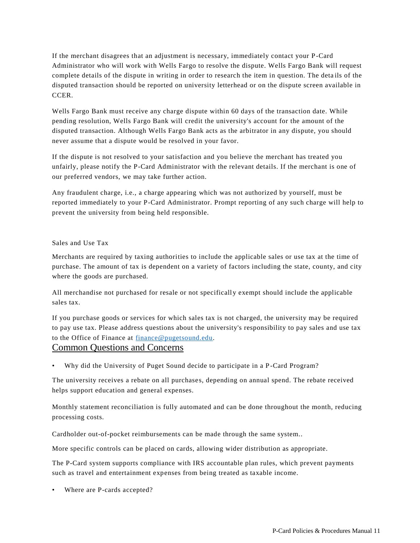If the merchant disagrees that an adjustment is necessary, immediately contact your P-Card Administrator who will work with Wells Fargo to resolve the dispute. Wells Fargo Bank will request complete details of the dispute in writing in order to research the item in question. The deta ils of the disputed transaction should be reported on university letterhead or on the dispute screen available in CCER.

Wells Fargo Bank must receive any charge dispute within 60 days of the transaction date. While pending resolution, Wells Fargo Bank will credit the university's account for the amount of the disputed transaction. Although Wells Fargo Bank acts as the arbitrator in any dispute, you should never assume that a dispute would be resolved in your favor.

If the dispute is not resolved to your satisfaction and you believe the merchant has treated you unfairly, please notify the P-Card Administrator with the relevant details. If the merchant is one of our preferred vendors, we may take further action.

Any fraudulent charge, i.e., a charge appearing which was not authorized by yourself, must be reported immediately to your P-Card Administrator. Prompt reporting of any such charge will help to prevent the university from being held responsible.

#### Sales and Use Tax

Merchants are required by taxing authorities to include the applicable sales or use tax at the time of purchase. The amount of tax is dependent on a variety of factors including the state, county, and city where the goods are purchased.

All merchandise not purchased for resale or not specifically exempt should include the applicable sales tax.

If you purchase goods or services for which sales tax is not charged, the university may be required to pay use tax. Please address questions about the university's responsibility to pay sales and use tax to the Office of Finance at [finance@pugetsound.edu.](mailto:finance@pugetsound.edu)

### Common Questions and Concerns

• Why did the University of Puget Sound decide to participate in a P -Card Program?

The university receives a rebate on all purchases, depending on annual spend. The rebate received helps support education and general expenses.

Monthly statement reconciliation is fully automated and can be done throughout the month, reducing processing costs.

Cardholder out-of-pocket reimbursements can be made through the same system..

More specific controls can be placed on cards, allowing wider distribution as appropriate.

The P-Card system supports compliance with IRS accountable plan rules, which prevent payments such as travel and entertainment expenses from being treated as taxable income.

• Where are P-cards accepted?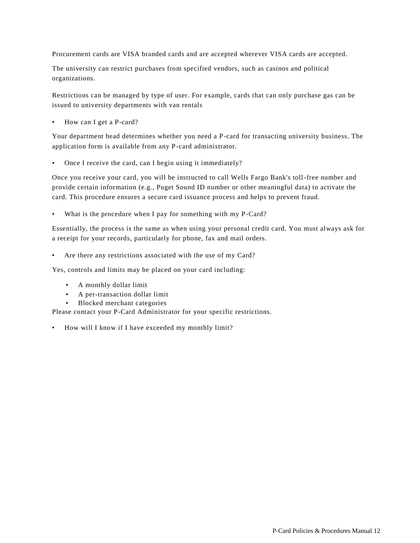Procurement cards are VISA branded cards and are accepted wherever VISA cards are accepted.

The university can restrict purchases from specified vendors, such as casinos and political organizations.

Restrictions can be managed by type of user. For example, cards that can only purchase gas can be issued to university departments with van rentals

• How can I get a P-card?

Your department head determines whether you need a P-card for transacting university business. The application form is available from any P-card administrator.

• Once I receive the card, can I begin using it immediately?

Once you receive your card, you will be instructed to call Wells Fargo Bank's toll-free number and provide certain information (e.g., Puget Sound ID number or other meaningful data) to activate the card. This procedure ensures a secure card issuance process and helps to prevent fraud.

• What is the procedure when I pay for something with my P-Card?

Essentially, the process is the same as when using your personal credit card. You must always ask for a receipt for your records, particularly for phone, fax and mail orders.

• Are there any restrictions associated with the use of my Card?

Yes, controls and limits may be placed on your card including:

- A monthly dollar limit
- A per-transaction dollar limit
- Blocked merchant categories

Please contact your P-Card Administrator for your specific restrictions.

• How will I know if I have exceeded my monthly limit?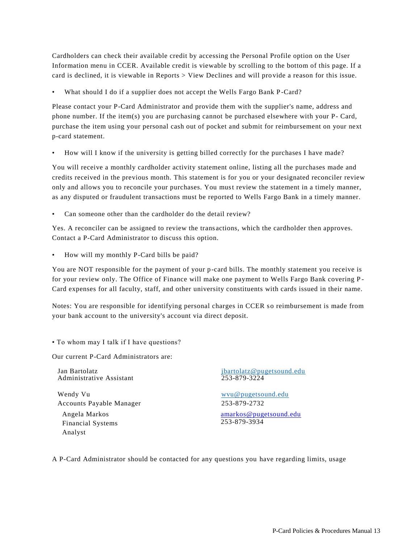Cardholders can check their available credit by accessing the Personal Profile option on the User Information menu in CCER. Available credit is viewable by scrolling to the bottom of this page. If a card is declined, it is viewable in Reports > View Declines and will pro vide a reason for this issue.

What should I do if a supplier does not accept the Wells Fargo Bank P-Card?

Please contact your P-Card Administrator and provide them with the supplier's name, address and phone number. If the item(s) you are purchasing cannot be purchased elsewhere with your P- Card, purchase the item using your personal cash out of pocket and submit for reimbursement on your next p-card statement.

• How will I know if the university is getting billed correctly for the purchases I have made?

You will receive a monthly cardholder activity statement online, listing all the purchases made and credits received in the previous month. This statement is for you or your designated reconciler review only and allows you to reconcile your purchases. You must review the statement in a timely manner, as any disputed or fraudulent transactions must be reported to Wells Fargo Bank in a timely manner.

• Can someone other than the cardholder do the detail review?

Yes. A reconciler can be assigned to review the trans actions, which the cardholder then approves. Contact a P-Card Administrator to discuss this option.

• How will my monthly P-Card bills be paid?

You are NOT responsible for the payment of your p-card bills. The monthly statement you receive is for your review only. The Office of Finance will make one payment to Wells Fargo Bank covering P - Card expenses for all faculty, staff, and other university constituents with cards issued in their name.

Notes: You are responsible for identifying personal charges in CCER so reimbursement is made from your bank account to the university's account via direct deposit.

• To whom may I talk if I have questions?

Our current P-Card Administrators are:

Administrative Assistant

Wendy Vu wvu @pugetsound.edu Accounts Payable Manager 253-879-2732

Angela Markos Financial Systems Analyst

Jan Bartolatz<br>
Administrative Assistant<br>
253-879-3224

[amarkos@pugetsound.edu](mailto:amarkos@pugetsound.edu) 253-879-3934

A P-Card Administrator should be contacted for any questions you have regarding limits, usage